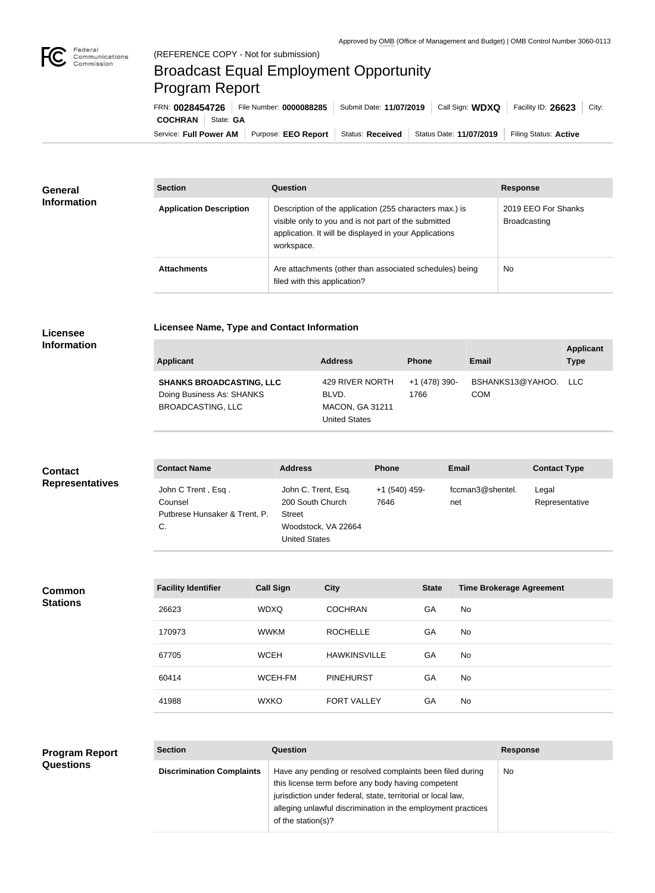

## Broadcast Equal Employment Opportunity Program Report

**Licensee Name, Type and Contact Information**

Service: Full Power AM | Purpose: EEO Report | Status: Received | Status Date: 11/07/2019 | Filing Status: Active **COCHRAN** State: **GA** FRN: **0028454726** File Number: **0000088285** Submit Date: **11/07/2019** Call Sign: **WDXQ** Facility ID: **26623** City:

| <b>General</b><br><b>Information</b> | <b>Section</b>                 | Question                                                                                                                                                                                | <b>Response</b>                     |
|--------------------------------------|--------------------------------|-----------------------------------------------------------------------------------------------------------------------------------------------------------------------------------------|-------------------------------------|
|                                      | <b>Application Description</b> | Description of the application (255 characters max.) is<br>visible only to you and is not part of the submitted<br>application. It will be displayed in your Applications<br>workspace. | 2019 EEO For Shanks<br>Broadcasting |
|                                      | <b>Attachments</b>             | Are attachments (other than associated schedules) being<br>filed with this application?                                                                                                 | <b>No</b>                           |

## **Licensee Information**

| <b>Applicant</b>                                                                         | <b>Address</b>                                                             | <b>Phone</b>          | Email                              | <b>Applicant</b><br><b>Type</b> |
|------------------------------------------------------------------------------------------|----------------------------------------------------------------------------|-----------------------|------------------------------------|---------------------------------|
| <b>SHANKS BROADCASTING, LLC</b><br>Doing Business As: SHANKS<br><b>BROADCASTING, LLC</b> | 429 RIVER NORTH<br>BLVD.<br><b>MACON, GA 31211</b><br><b>United States</b> | +1 (478) 390-<br>1766 | BSHANKS13@YAHOO. LLC<br><b>COM</b> |                                 |

| <b>Contact</b>         | <b>Contact Name</b>                                                  | <b>Address</b>                                                                                   | <b>Phone</b>          | Email                   | <b>Contact Type</b>     |
|------------------------|----------------------------------------------------------------------|--------------------------------------------------------------------------------------------------|-----------------------|-------------------------|-------------------------|
| <b>Representatives</b> | John C Trent, Esq.<br>Counsel<br>Putbrese Hunsaker & Trent, P.<br>C. | John C. Trent, Esq.<br>200 South Church<br><b>Street</b><br>Woodstock, VA 22664<br>United States | +1 (540) 459-<br>7646 | fccman3@shentel.<br>net | Legal<br>Representative |

## **Common Stations**

| <b>Facility Identifier</b> | <b>Call Sign</b> | <b>City</b>         | <b>State</b> | <b>Time Brokerage Agreement</b> |
|----------------------------|------------------|---------------------|--------------|---------------------------------|
| 26623                      | <b>WDXQ</b>      | <b>COCHRAN</b>      | GA           | <b>No</b>                       |
| 170973                     | <b>WWKM</b>      | <b>ROCHELLE</b>     | GA           | <b>No</b>                       |
| 67705                      | <b>WCEH</b>      | <b>HAWKINSVILLE</b> | GA           | <b>No</b>                       |
| 60414                      | WCEH-FM          | <b>PINEHURST</b>    | GA           | <b>No</b>                       |
| 41988                      | <b>WXKO</b>      | <b>FORT VALLEY</b>  | GA           | <b>No</b>                       |

## **Program Report Questions**

| <b>Section</b>                   | Question                                                                                                                                                                                                                                                              | <b>Response</b> |
|----------------------------------|-----------------------------------------------------------------------------------------------------------------------------------------------------------------------------------------------------------------------------------------------------------------------|-----------------|
| <b>Discrimination Complaints</b> | Have any pending or resolved complaints been filed during<br>this license term before any body having competent<br>jurisdiction under federal, state, territorial or local law,<br>alleging unlawful discrimination in the employment practices<br>of the station(s)? | <b>No</b>       |